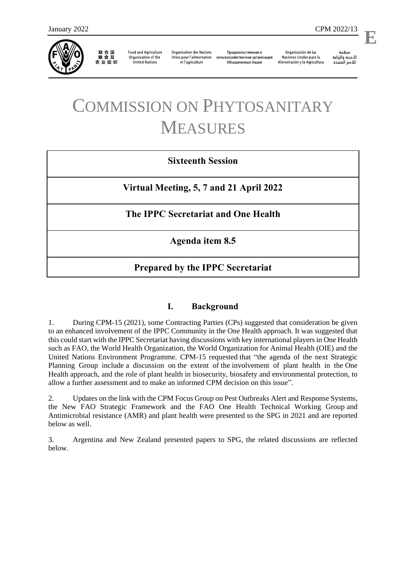

联合国<br>粮食及 农业组织

**Food and Agriculture** Organization of the **United Nations** 

**Organisation des Nations** Unies pour l'alimentation et l'agriculture

Продовольственная и сельскохозяйственная организация Объелиненных Наций

Organización de las Naciones Unidas para la Alimentación y la Agricultura

منظمة الأغذية والزراعة للأمم المتحدة

# COMMISSION ON PHYTOSANITARY MEASURES

# **Sixteenth Session**

**Virtual Meeting, 5, 7 and 21 April 2022**

# **The IPPC Secretariat and One Health**

**Agenda item 8.5**

# **Prepared by the IPPC Secretariat**

## **I. Background**

1. During CPM-15 (2021), some Contracting Parties (CPs) suggested that consideration be given to an enhanced involvement of the IPPC Community in the One Health approach. It was suggested that this could start with the IPPC Secretariat having discussions with key international players in One Health such as FAO, the World Health Organization, the World Organization for Animal Health (OIE) and the United Nations Environment Programme. CPM-15 requested that "the agenda of the next Strategic Planning Group include a discussion on the extent of the involvement of plant health in the One Health approach, and the role of plant health in biosecurity, biosafety and environmental protection, to allow a further assessment and to make an informed CPM decision on this issue".

2. Updates on the link with the CPM Focus Group on Pest Outbreaks Alert and Response Systems, the New FAO Strategic Framework and the FAO One Health Technical Working Group and Antimicrobial resistance (AMR) and plant health were presented to the SPG in 2021 and are reported below as well.

3. Argentina and New Zealand presented papers to SPG, the related discussions are reflected below.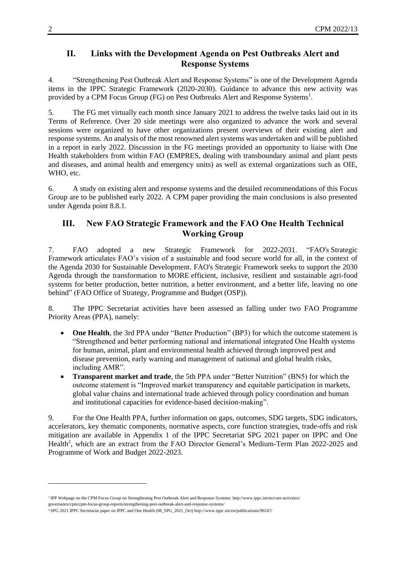#### **II. Links with the Development Agenda on Pest Outbreaks Alert and Response Systems**

4. "Strengthening Pest Outbreak Alert and Response Systems" is one of the Development Agenda items in the IPPC Strategic Framework (2020-2030). Guidance to advance this new activity was provided by a CPM Focus Group (FG) on Pest Outbreaks Alert and Response Systems<sup>1</sup>.

5. The FG met virtually each month since January 2021 to address the twelve tasks laid out in its Terms of Reference. Over 20 side meetings were also organized to advance the work and several sessions were organized to have other organizations present overviews of their existing alert and response systems. An analysis of the most renowned alert systems was undertaken and will be published in a report in early 2022. Discussion in the FG meetings provided an opportunity to liaise with One Health stakeholders from within FAO (EMPRES, dealing with transboundary animal and plant pests and diseases, and animal health and emergency units) as well as external organizations such as OIE, WHO, etc.

6. A study on existing alert and response systems and the detailed recommendations of this Focus Group are to be published early 2022. A CPM paper providing the main conclusions is also presented under Agenda point 8.8.1.

## **III. New FAO Strategic Framework and the FAO One Health Technical Working Group**

7. FAO adopted a new [Strategic Framework for 2022-2031.](http://www.fao.org/3/ne577en/ne577en.pdf) "FAO's [Strategic](http://www.fao.org/pwb/home/en/) [Framework](http://www.fao.org/pwb/home/en/) articulates FAO's vision of a sustainable and food secure world for all, in the context of the [Agenda 2030 for Sustainable Development.](http://www.fao.org/sustainable-development-goals/en/) FAO's Strategic Framework seeks to support the 2030 Agenda through the transformation to MORE efficient, inclusive, resilient and sustainable agri-food systems for better production, better nutrition, a better environment, and a better life, leaving no one behind" [\(FAO Office of Strategy, Programme and Budget \(OSP\)\)](http://www.fao.org/about/office-strategy-planning-resources-management/strategic-framework/en/).

8. The IPPC Secretariat activities have been assessed as falling under two FAO Programme Priority Areas (PPA), namely:

- One Health, the 3rd PPA under "Better Production" (BP3) for which the outcome statement is "Strengthened and better performing national and international integrated One Health systems for human, animal, plant and environmental health achieved through improved pest and disease prevention, early warning and management of national and global health risks, including AMR".
- **Transparent market and trade**, the 5th PPA under "Better Nutrition" (BN5) for which the outcome statement is "Improved market transparency and equitable participation in markets, global value chains and international trade achieved through policy coordination and human and institutional capacities for evidence-based decision-making".

9. For the One Health PPA, further information on gaps, outcomes, SDG targets, SDG indicators, accelerators, key thematic components, normative aspects, core function strategies, trade-offs and risk mitigation are available in Appendix 1 of the IPPC Secretariat SPG 2021 paper on IPPC and One Health<sup>2</sup>, which are an extract from the FAO Director General's Medium-Term Plan 2022-2025 and Programme of Work and Budget 2022-2023.

<sup>1</sup>IPP Webpage on the CPM Focus Group on Strengthening Pest Outbreak Alert and Response Systems: http://w[ww.ippc.int/en/core-activities/](http://www.ippc.int/en/core-activities/governance/cpm/cpm-focus-group-reports/strengthening-pest-outbreak-alert-and-response-systems/) governance/cpm/cpm-focus-group-reports/strengthening-pest-outbreak-alert-and-response-systems/

<sup>2</sup> [SPG 2021 IPPC Secretariat paper on IPPC and One Health \(08\\_SPG\\_2021\\_Oct\) http://www.ippc.int/en/publications](http://www.ippc.int/en/core-activities/governance/cpm/cpm-focus-group-reports/strengthening-pest-outbreak-alert-and-response-systems/)/90247/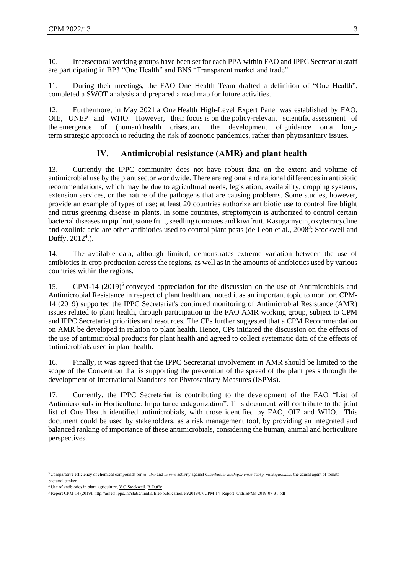10. Intersectoral working groups have been set for each PPA within FAO and IPPC Secretariat staff are participating in BP3 "One Health" and BN5 "Transparent market and trade".

11. During their meetings, the FAO One Health Team drafted a definition of "One Health", completed a SWOT analysis and prepared a road map for future activities.

12. Furthermore, in May 2021 a One Health High-Level Expert Panel was established by FAO, OIE, UNEP and WHO. However, their focus is on the policy-relevant scientific assessment of the emergence of (human) health crises, and the development of guidance on a longterm strategic approach to reducing the risk of zoonotic pandemics, rather than phytosanitary issues.

### **IV. Antimicrobial resistance (AMR) and plant health**

13. Currently the IPPC community does not have robust data on the extent and volume of antimicrobial use by the plant sector worldwide. There are regional and national differences in antibiotic recommendations, which may be due to agricultural needs, legislation, availability, cropping systems, extension services, or the nature of the pathogens that are causing problems. Some studies, however, provide an example of types of use; at least 20 countries authorize antibiotic use to control fire blight and citrus greening disease in plants. In some countries, streptomycin is authorized to control certain bacterial diseases in pip fruit, stone fruit, seedling tomatoes and kiwifruit. Kasugamycin, oxytetracycline and oxolinic acid are other antibiotics used to control plant pests [\(de León et al., 2008](https://www.sciencedirect.com/science/article/pii/S0261219408000860)<sup>3</sup>; [Stockwell](https://www.ncbi.nlm.nih.gov/pubmed/22849276) and Duffy,  $2012^4$ .).

14. The available data, although limited, demonstrates extreme variation between the use of antibiotics in crop production across the regions, as well as in the amounts of antibiotics used by various countries within the regions.

15. CPM-14 (2019)<sup>5</sup> conveyed appreciation for the discussion on the use of Antimicrobials and Antimicrobial Resistance in respect of plant health and noted it as an important topic to monitor. CPM-14 (2019) supported the IPPC Secretariat's continued monitoring of Antimicrobial Resistance (AMR) issues related to plant health, through participation in the FAO AMR working group, subject to CPM and IPPC Secretariat priorities and resources. The CPs further suggested that a CPM Recommendation on AMR be developed in relation to plant health. Hence, CPs initiated the discussion on the effects of the use of antimicrobial products for plant health and agreed to collect systematic data of the effects of antimicrobials used in plant health.

16. Finally, it was agreed that the IPPC Secretariat involvement in AMR should be limited to the scope of the Convention that is supporting the prevention of the spread of the plant pests through the development of International Standards for Phytosanitary Measures (ISPMs).

17. Currently, the IPPC Secretariat is contributing to the development of the FAO "List of Antimicrobials in Horticulture: Importance categorization". This document will contribute to the joint list of One Health identified antimicrobials, with those identified by FAO, OIE and WHO. This document could be used by stakeholders, as a risk management tool, by providing an integrated and balanced ranking of importance of these antimicrobials, considering the human, animal and horticulture perspectives.

<sup>3</sup>Comparative efficiency of chemical compounds for *in vitro* and *in vivo* activity against *Clavibacter michiganensis* subsp. *michiganensis*, the causal agent of tomato bacterial canker

<sup>4</sup> Use of antibiotics in plant agriculture, V O Stockwell, B Duffy

<sup>5</sup> Report CPM-14 (2019): http://assets.ipp[c.int/static/media/f](https://pubmed.ncbi.nlm.nih.gov/?term=Stockwell+VO&cauthor_id=22849276)[iles/publica](https://pubmed.ncbi.nlm.nih.gov/?term=Duffy+B&cauthor_id=22849276)tion/en/2019/07/CPM-14\_Report\_withISPMs-2019-07-31.pdf